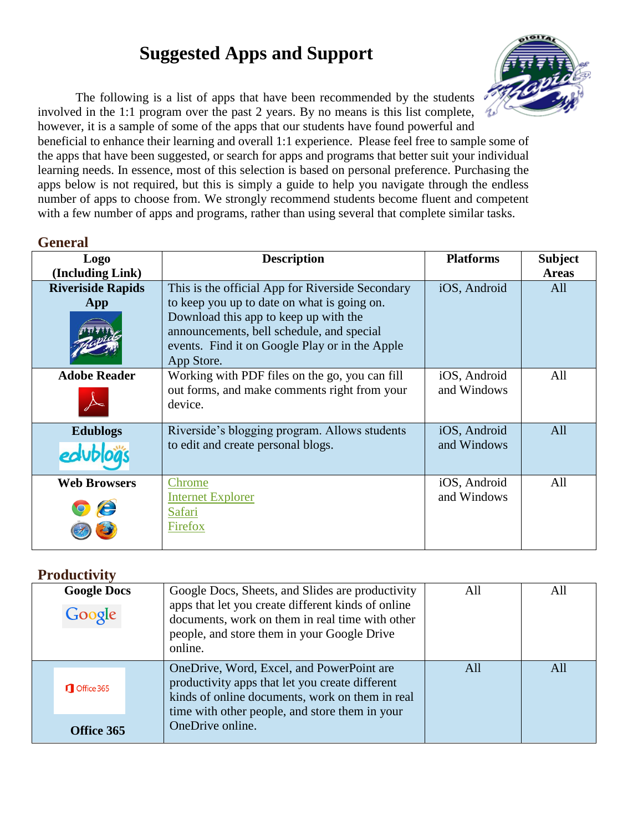# **Suggested Apps and Support**



The following is a list of apps that have been recommended by the students involved in the 1:1 program over the past 2 years. By no means is this list complete, however, it is a sample of some of the apps that our students have found powerful and

beneficial to enhance their learning and overall 1:1 experience. Please feel free to sample some of the apps that have been suggested, or search for apps and programs that better suit your individual learning needs. In essence, most of this selection is based on personal preference. Purchasing the apps below is not required, but this is simply a guide to help you navigate through the endless number of apps to choose from. We strongly recommend students become fluent and competent with a few number of apps and programs, rather than using several that complete similar tasks.

#### **General**

| Logo                     | <b>Description</b>                                                                                                                                 | <b>Platforms</b>            | <b>Subject</b> |
|--------------------------|----------------------------------------------------------------------------------------------------------------------------------------------------|-----------------------------|----------------|
| (Including Link)         |                                                                                                                                                    |                             | <b>Areas</b>   |
| <b>Riveriside Rapids</b> | This is the official App for Riverside Secondary                                                                                                   | iOS, Android                | All            |
| App                      | to keep you up to date on what is going on.                                                                                                        |                             |                |
|                          | Download this app to keep up with the<br>announcements, bell schedule, and special<br>events. Find it on Google Play or in the Apple<br>App Store. |                             |                |
| <b>Adobe Reader</b>      | Working with PDF files on the go, you can fill<br>out forms, and make comments right from your<br>device.                                          | iOS, Android<br>and Windows | All            |
| <b>Edublogs</b>          | Riverside's blogging program. Allows students<br>to edit and create personal blogs.                                                                | iOS, Android<br>and Windows | All            |
| <b>Web Browsers</b>      | Chrome<br><b>Internet Explorer</b><br>Safari<br>Firefox                                                                                            | iOS, Android<br>and Windows | All            |

### **Productivity**

| <b>Google Docs</b><br>Google | Google Docs, Sheets, and Slides are productivity<br>apps that let you create different kinds of online<br>documents, work on them in real time with other<br>people, and store them in your Google Drive<br>online.   | All | All             |
|------------------------------|-----------------------------------------------------------------------------------------------------------------------------------------------------------------------------------------------------------------------|-----|-----------------|
| Office 365<br>Office 365     | OneDrive, Word, Excel, and PowerPoint are<br>productivity apps that let you create different<br>kinds of online documents, work on them in real<br>time with other people, and store them in your<br>OneDrive online. | All | A <sub>11</sub> |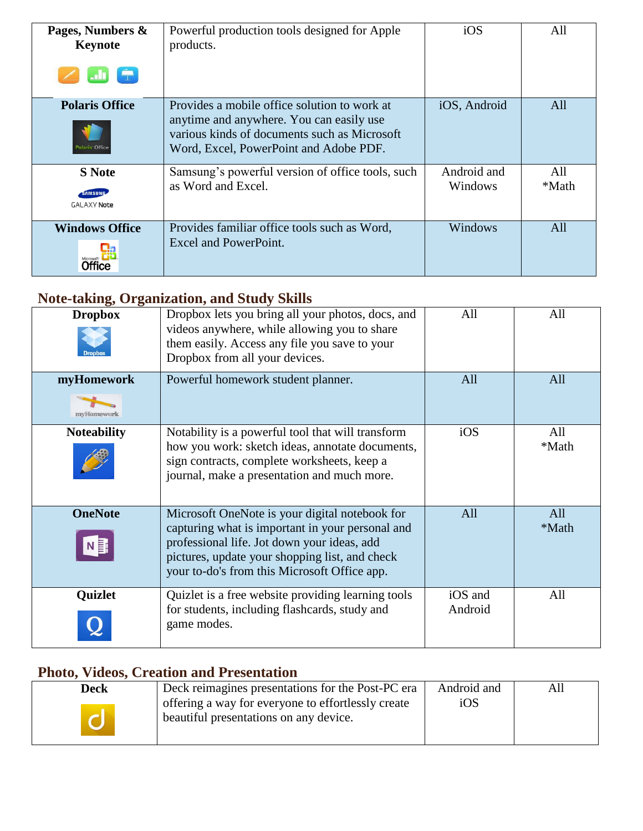| Pages, Numbers &<br><b>Keynote</b>                    | Powerful production tools designed for Apple<br>products.                                                                                                                          | iOS                    | All          |
|-------------------------------------------------------|------------------------------------------------------------------------------------------------------------------------------------------------------------------------------------|------------------------|--------------|
| <b>Polaris Office</b><br>Polaris Office               | Provides a mobile office solution to work at<br>anytime and anywhere. You can easily use<br>various kinds of documents such as Microsoft<br>Word, Excel, PowerPoint and Adobe PDF. | iOS, Android           | All          |
| <b>S</b> Note<br><b>SAMSUNG</b><br><b>GALAXY Note</b> | Samsung's powerful version of office tools, such<br>as Word and Excel.                                                                                                             | Android and<br>Windows | All<br>*Math |
| <b>Windows Office</b><br>Office                       | Provides familiar office tools such as Word,<br>Excel and PowerPoint.                                                                                                              | Windows                | All          |

## **Note-taking, Organization, and Study Skills**

| <b>Dropbox</b><br><b>Drophox</b> | Dropbox lets you bring all your photos, docs, and<br>videos anywhere, while allowing you to share<br>them easily. Access any file you save to your<br>Dropbox from all your devices.                                                                | All                | All          |
|----------------------------------|-----------------------------------------------------------------------------------------------------------------------------------------------------------------------------------------------------------------------------------------------------|--------------------|--------------|
| myHomework<br>myHomework         | Powerful homework student planner.                                                                                                                                                                                                                  | All                | All          |
| <b>Noteability</b>               | Notability is a powerful tool that will transform<br>how you work: sketch ideas, annotate documents,<br>sign contracts, complete worksheets, keep a<br>journal, make a presentation and much more.                                                  | iOS                | All<br>*Math |
| <b>OneNote</b><br>$N \equiv$     | Microsoft OneNote is your digital notebook for<br>capturing what is important in your personal and<br>professional life. Jot down your ideas, add<br>pictures, update your shopping list, and check<br>your to-do's from this Microsoft Office app. | All                | All<br>*Math |
| <b>Quizlet</b>                   | Quizlet is a free website providing learning tools<br>for students, including flashcards, study and<br>game modes.                                                                                                                                  | iOS and<br>Android | All          |

## **Photo, Videos, Creation and Presentation**

| Deck | Deck reimagines presentations for the Post-PC era                                            | Android and | AШ |
|------|----------------------------------------------------------------------------------------------|-------------|----|
|      | offering a way for everyone to effortlessly create<br>beautiful presentations on any device. | iOS         |    |